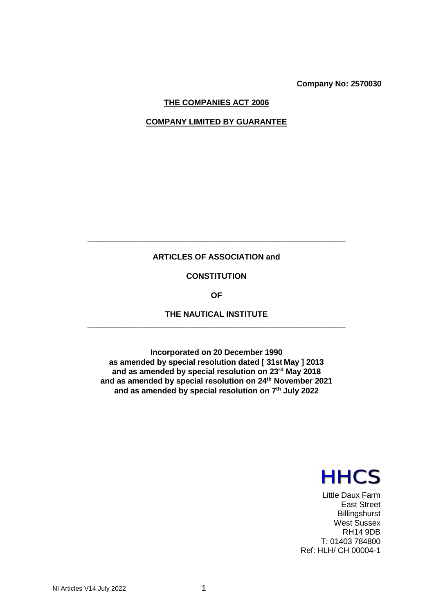**Company No: 2570030**

# **THE COMPANIES ACT 2006**

# **COMPANY LIMITED BY GUARANTEE**

# **ARTICLES OF ASSOCIATION and**

**\_\_\_\_\_\_\_\_\_\_\_\_\_\_\_\_\_\_\_\_\_\_\_\_\_\_\_\_\_\_\_\_\_\_\_\_\_\_\_\_\_\_\_\_\_\_\_\_\_\_\_\_\_\_\_\_\_\_\_**

# **CONSTITUTION**

**OF**

# **THE NAUTICAL INSTITUTE \_\_\_\_\_\_\_\_\_\_\_\_\_\_\_\_\_\_\_\_\_\_\_\_\_\_\_\_\_\_\_\_\_\_\_\_\_\_\_\_\_\_\_\_\_\_\_\_\_\_\_\_\_\_\_\_\_\_\_**

**Incorporated on 20 December 1990 as amended by special resolution dated [ 31st May ] 2013 and as amended by special resolution on 23rd May 2018 and as amended by special resolution on 24th November 2021 and as amended by special resolution on 7th July 2022**



Little Daux Farm East Street **Billingshurst** West Sussex RH14 9DB T: 01403 784800 Ref: HLH/ CH 00004-1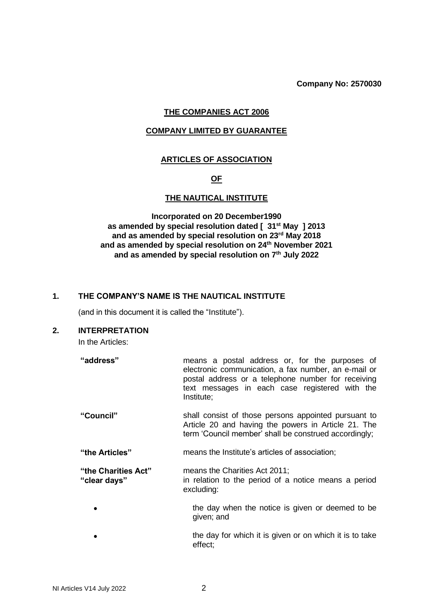**Company No: 2570030**

# **THE COMPANIES ACT 2006**

# **COMPANY LIMITED BY GUARANTEE**

# **ARTICLES OF ASSOCIATION**

# **OF**

# **THE NAUTICAL INSTITUTE**

**Incorporated on 20 December1990 as amended by special resolution dated [ 31st May ] 2013 and as amended by special resolution on 23rd May 2018 and as amended by special resolution on 24th November 2021 and as amended by special resolution on 7th July 2022**

### **1. THE COMPANY'S NAME IS THE NAUTICAL INSTITUTE**

(and in this document it is called the "Institute").

#### **2. INTERPRETATION**

In the Articles:

| "address" | means a postal address or, for the purposes of       |
|-----------|------------------------------------------------------|
|           | electronic communication, a fax number, an e-mail or |
|           | postal address or a telephone number for receiving   |
|           | text messages in each case registered with the       |
|           | Institute:                                           |

- **"Council"** shall consist of those persons appointed pursuant to Article 20 and having the powers in Article 21. The term 'Council member' shall be construed accordingly;
- **"the Articles"** means the Institute's articles of association;

**"the Charities Act"** means the Charities Act 2011; **"clear days"** in relation to the period of a notice means a period excluding:

- the day when the notice is given or deemed to be given; and
- the day for which it is given or on which it is to take effect;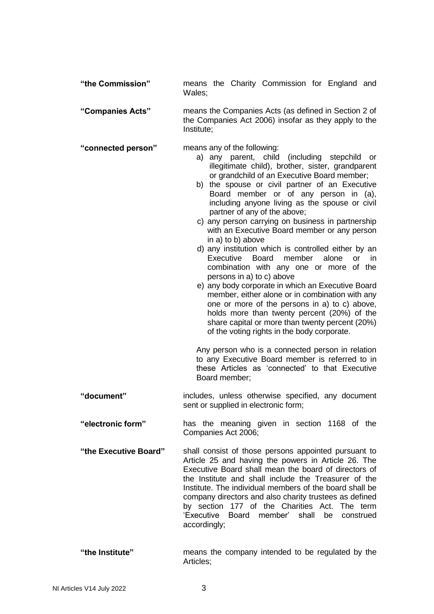| "the Commission"      | means the Charity Commission for England and<br>Wales;                                                                                                                                                                                                                                                                                                                                                                                                                                                                                                                                                                                                                                                                                                                                                                                                                                                                                                                                                                                                                                                                                                                            |
|-----------------------|-----------------------------------------------------------------------------------------------------------------------------------------------------------------------------------------------------------------------------------------------------------------------------------------------------------------------------------------------------------------------------------------------------------------------------------------------------------------------------------------------------------------------------------------------------------------------------------------------------------------------------------------------------------------------------------------------------------------------------------------------------------------------------------------------------------------------------------------------------------------------------------------------------------------------------------------------------------------------------------------------------------------------------------------------------------------------------------------------------------------------------------------------------------------------------------|
| "Companies Acts"      | means the Companies Acts (as defined in Section 2 of<br>the Companies Act 2006) insofar as they apply to the<br>Institute;                                                                                                                                                                                                                                                                                                                                                                                                                                                                                                                                                                                                                                                                                                                                                                                                                                                                                                                                                                                                                                                        |
| "connected person"    | means any of the following:<br>a) any parent, child (including stepchild<br>or<br>illegitimate child), brother, sister, grandparent<br>or grandchild of an Executive Board member;<br>b) the spouse or civil partner of an Executive<br>Board member or of any person in (a),<br>including anyone living as the spouse or civil<br>partner of any of the above;<br>c) any person carrying on business in partnership<br>with an Executive Board member or any person<br>in a) to b) above<br>d) any institution which is controlled either by an<br>Executive<br><b>Board</b><br>member<br>alone<br><b>or</b><br>in.<br>combination with any one or more of the<br>persons in a) to c) above<br>e) any body corporate in which an Executive Board<br>member, either alone or in combination with any<br>one or more of the persons in a) to c) above,<br>holds more than twenty percent (20%) of the<br>share capital or more than twenty percent (20%)<br>of the voting rights in the body corporate.<br>Any person who is a connected person in relation<br>to any Executive Board member is referred to in<br>these Articles as 'connected' to that Executive<br>Board member; |
| "document"            | includes, unless otherwise specified, any document<br>sent or supplied in electronic form;                                                                                                                                                                                                                                                                                                                                                                                                                                                                                                                                                                                                                                                                                                                                                                                                                                                                                                                                                                                                                                                                                        |
| "electronic form"     | has the meaning given in section 1168 of the<br>Companies Act 2006;                                                                                                                                                                                                                                                                                                                                                                                                                                                                                                                                                                                                                                                                                                                                                                                                                                                                                                                                                                                                                                                                                                               |
| "the Executive Board" | shall consist of those persons appointed pursuant to<br>Article 25 and having the powers in Article 26. The<br>Executive Board shall mean the board of directors of<br>the Institute and shall include the Treasurer of the<br>Institute. The individual members of the board shall be<br>company directors and also charity trustees as defined<br>by section 177 of the Charities Act. The term<br>'Executive Board member' shall be<br>construed<br>accordingly;                                                                                                                                                                                                                                                                                                                                                                                                                                                                                                                                                                                                                                                                                                               |
| $"$ the Institute"    | means the company intended to be requisted by the                                                                                                                                                                                                                                                                                                                                                                                                                                                                                                                                                                                                                                                                                                                                                                                                                                                                                                                                                                                                                                                                                                                                 |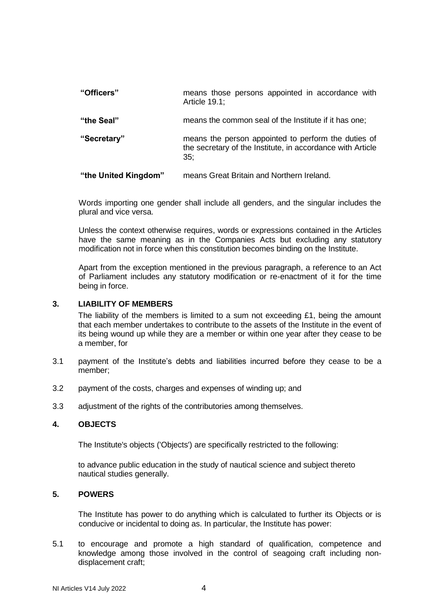| "Officers"           | means those persons appointed in accordance with<br>Article 19.1;                                                        |
|----------------------|--------------------------------------------------------------------------------------------------------------------------|
| "the Seal"           | means the common seal of the Institute if it has one;                                                                    |
| "Secretary"          | means the person appointed to perform the duties of<br>the secretary of the Institute, in accordance with Article<br>35: |
| "the United Kingdom" | means Great Britain and Northern Ireland.                                                                                |

Words importing one gender shall include all genders, and the singular includes the plural and vice versa.

Unless the context otherwise requires, words or expressions contained in the Articles have the same meaning as in the Companies Acts but excluding any statutory modification not in force when this constitution becomes binding on the Institute.

Apart from the exception mentioned in the previous paragraph, a reference to an Act of Parliament includes any statutory modification or re-enactment of it for the time being in force.

# **3. LIABILITY OF MEMBERS**

The liability of the members is limited to a sum not exceeding £1, being the amount that each member undertakes to contribute to the assets of the Institute in the event of its being wound up while they are a member or within one year after they cease to be a member, for

- 3.1 payment of the Institute's debts and liabilities incurred before they cease to be a member;
- 3.2 payment of the costs, charges and expenses of winding up; and
- 3.3 adjustment of the rights of the contributories among themselves.

#### **4. OBJECTS**

The Institute's objects ('Objects') are specifically restricted to the following:

to advance public education in the study of nautical science and subject thereto nautical studies generally.

# **5. POWERS**

The Institute has power to do anything which is calculated to further its Objects or is conducive or incidental to doing as. In particular, the Institute has power:

5.1 to encourage and promote a high standard of qualification, competence and knowledge among those involved in the control of seagoing craft including nondisplacement craft;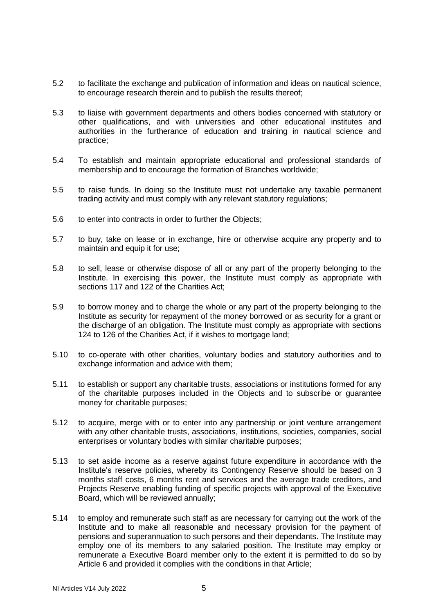- 5.2 to facilitate the exchange and publication of information and ideas on nautical science, to encourage research therein and to publish the results thereof;
- 5.3 to liaise with government departments and others bodies concerned with statutory or other qualifications, and with universities and other educational institutes and authorities in the furtherance of education and training in nautical science and practice;
- 5.4 To establish and maintain appropriate educational and professional standards of membership and to encourage the formation of Branches worldwide;
- 5.5 to raise funds. In doing so the Institute must not undertake any taxable permanent trading activity and must comply with any relevant statutory regulations;
- 5.6 to enter into contracts in order to further the Objects;
- 5.7 to buy, take on lease or in exchange, hire or otherwise acquire any property and to maintain and equip it for use;
- 5.8 to sell, lease or otherwise dispose of all or any part of the property belonging to the Institute. In exercising this power, the Institute must comply as appropriate with sections 117 and 122 of the Charities Act;
- 5.9 to borrow money and to charge the whole or any part of the property belonging to the Institute as security for repayment of the money borrowed or as security for a grant or the discharge of an obligation. The Institute must comply as appropriate with sections 124 to 126 of the Charities Act, if it wishes to mortgage land;
- 5.10 to co-operate with other charities, voluntary bodies and statutory authorities and to exchange information and advice with them;
- 5.11 to establish or support any charitable trusts, associations or institutions formed for any of the charitable purposes included in the Objects and to subscribe or guarantee money for charitable purposes;
- 5.12 to acquire, merge with or to enter into any partnership or joint venture arrangement with any other charitable trusts, associations, institutions, societies, companies, social enterprises or voluntary bodies with similar charitable purposes;
- 5.13 to set aside income as a reserve against future expenditure in accordance with the Institute's reserve policies, whereby its Contingency Reserve should be based on 3 months staff costs, 6 months rent and services and the average trade creditors, and Projects Reserve enabling funding of specific projects with approval of the Executive Board, which will be reviewed annually;
- 5.14 to employ and remunerate such staff as are necessary for carrying out the work of the Institute and to make all reasonable and necessary provision for the payment of pensions and superannuation to such persons and their dependants. The Institute may employ one of its members to any salaried position. The Institute may employ or remunerate a Executive Board member only to the extent it is permitted to do so by Article 6 and provided it complies with the conditions in that Article;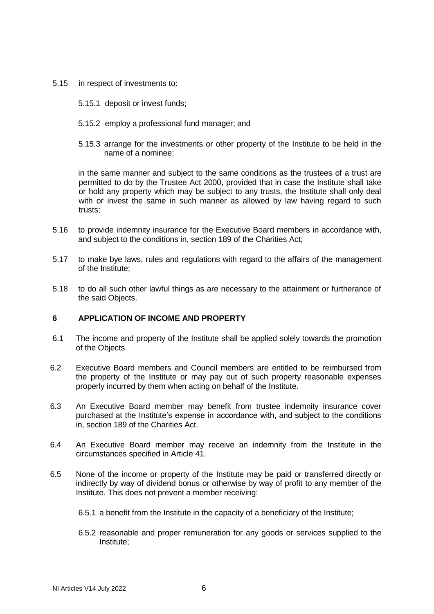- 5.15 in respect of investments to:
	- 5.15.1 deposit or invest funds;
	- 5.15.2 employ a professional fund manager; and
	- 5.15.3 arrange for the investments or other property of the Institute to be held in the name of a nominee;

in the same manner and subject to the same conditions as the trustees of a trust are permitted to do by the Trustee Act 2000, provided that in case the Institute shall take or hold any property which may be subject to any trusts, the Institute shall only deal with or invest the same in such manner as allowed by law having regard to such trusts;

- 5.16 to provide indemnity insurance for the Executive Board members in accordance with, and subject to the conditions in, section 189 of the Charities Act;
- 5.17 to make bye laws, rules and regulations with regard to the affairs of the management of the Institute;
- 5.18 to do all such other lawful things as are necessary to the attainment or furtherance of the said Objects.

# **6 APPLICATION OF INCOME AND PROPERTY**

- 6.1 The income and property of the Institute shall be applied solely towards the promotion of the Objects.
- 6.2 Executive Board members and Council members are entitled to be reimbursed from the property of the Institute or may pay out of such property reasonable expenses properly incurred by them when acting on behalf of the Institute.
- 6.3 An Executive Board member may benefit from trustee indemnity insurance cover purchased at the Institute's expense in accordance with, and subject to the conditions in, section 189 of the Charities Act.
- 6.4 An Executive Board member may receive an indemnity from the Institute in the circumstances specified in Article 41.
- 6.5 None of the income or property of the Institute may be paid or transferred directly or indirectly by way of dividend bonus or otherwise by way of profit to any member of the Institute. This does not prevent a member receiving:
	- 6.5.1 a benefit from the Institute in the capacity of a beneficiary of the Institute;
	- 6.5.2 reasonable and proper remuneration for any goods or services supplied to the Institute;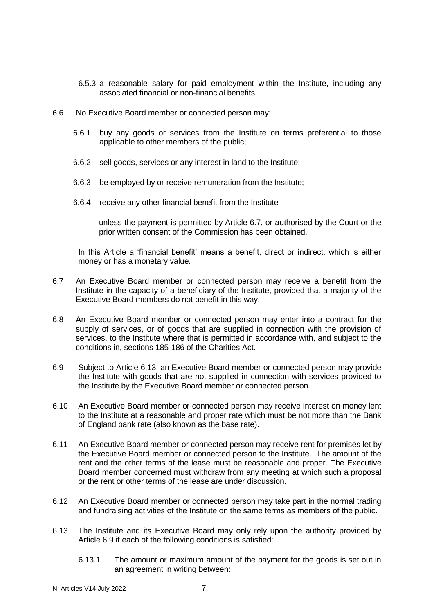- 6.5.3 a reasonable salary for paid employment within the Institute, including any associated financial or non-financial benefits.
- 6.6 No Executive Board member or connected person may:
	- 6.6.1 buy any goods or services from the Institute on terms preferential to those applicable to other members of the public;
	- 6.6.2 sell goods, services or any interest in land to the Institute;
	- 6.6.3 be employed by or receive remuneration from the Institute;
	- 6.6.4 receive any other financial benefit from the Institute

unless the payment is permitted by Article 6.7, or authorised by the Court or the prior written consent of the Commission has been obtained.

In this Article a 'financial benefit' means a benefit, direct or indirect, which is either money or has a monetary value.

- 6.7 An Executive Board member or connected person may receive a benefit from the Institute in the capacity of a beneficiary of the Institute, provided that a majority of the Executive Board members do not benefit in this way.
- 6.8 An Executive Board member or connected person may enter into a contract for the supply of services, or of goods that are supplied in connection with the provision of services, to the Institute where that is permitted in accordance with, and subject to the conditions in, sections 185-186 of the Charities Act.
- 6.9 Subject to Article 6.13, an Executive Board member or connected person may provide the Institute with goods that are not supplied in connection with services provided to the Institute by the Executive Board member or connected person.
- 6.10 An Executive Board member or connected person may receive interest on money lent to the Institute at a reasonable and proper rate which must be not more than the Bank of England bank rate (also known as the base rate).
- 6.11 An Executive Board member or connected person may receive rent for premises let by the Executive Board member or connected person to the Institute. The amount of the rent and the other terms of the lease must be reasonable and proper. The Executive Board member concerned must withdraw from any meeting at which such a proposal or the rent or other terms of the lease are under discussion.
- 6.12 An Executive Board member or connected person may take part in the normal trading and fundraising activities of the Institute on the same terms as members of the public.
- 6.13 The Institute and its Executive Board may only rely upon the authority provided by Article 6.9 if each of the following conditions is satisfied:
	- 6.13.1 The amount or maximum amount of the payment for the goods is set out in an agreement in writing between: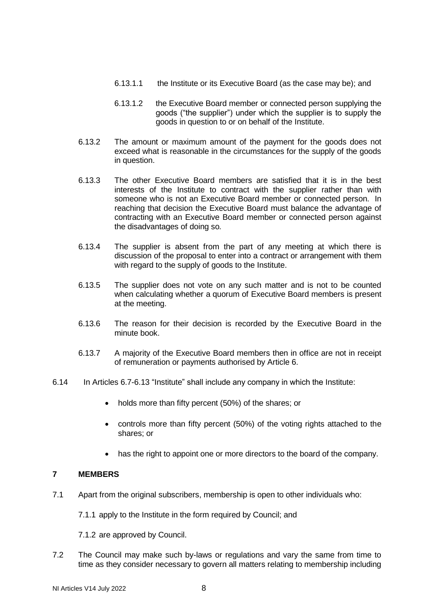- 6.13.1.1 the Institute or its Executive Board (as the case may be); and
- 6.13.1.2 the Executive Board member or connected person supplying the goods ("the supplier") under which the supplier is to supply the goods in question to or on behalf of the Institute.
- 6.13.2 The amount or maximum amount of the payment for the goods does not exceed what is reasonable in the circumstances for the supply of the goods in question.
- 6.13.3 The other Executive Board members are satisfied that it is in the best interests of the Institute to contract with the supplier rather than with someone who is not an Executive Board member or connected person. In reaching that decision the Executive Board must balance the advantage of contracting with an Executive Board member or connected person against the disadvantages of doing so*.*
- 6.13.4 The supplier is absent from the part of any meeting at which there is discussion of the proposal to enter into a contract or arrangement with them with regard to the supply of goods to the Institute.
- 6.13.5 The supplier does not vote on any such matter and is not to be counted when calculating whether a quorum of Executive Board members is present at the meeting.
- 6.13.6 The reason for their decision is recorded by the Executive Board in the minute book.
- 6.13.7 A majority of the Executive Board members then in office are not in receipt of remuneration or payments authorised by Article 6.
- 6.14 In Articles 6.7-6.13 "Institute" shall include any company in which the Institute:
	- holds more than fifty percent (50%) of the shares; or
	- controls more than fifty percent (50%) of the voting rights attached to the shares; or
	- has the right to appoint one or more directors to the board of the company.

# **7 MEMBERS**

- 7.1 Apart from the original subscribers, membership is open to other individuals who:
	- 7.1.1 apply to the Institute in the form required by Council; and
	- 7.1.2 are approved by Council.
- 7.2 The Council may make such by-laws or regulations and vary the same from time to time as they consider necessary to govern all matters relating to membership including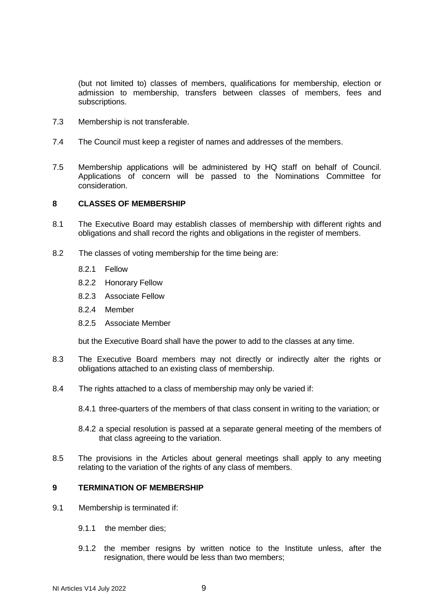(but not limited to) classes of members, qualifications for membership, election or admission to membership, transfers between classes of members, fees and subscriptions.

- 7.3 Membership is not transferable.
- 7.4 The Council must keep a register of names and addresses of the members.
- 7.5 Membership applications will be administered by HQ staff on behalf of Council. Applications of concern will be passed to the Nominations Committee for consideration.

# **8 CLASSES OF MEMBERSHIP**

- 8.1 The Executive Board may establish classes of membership with different rights and obligations and shall record the rights and obligations in the register of members.
- 8.2 The classes of voting membership for the time being are:
	- 8.2.1 Fellow
	- 8.2.2 Honorary Fellow
	- 8.2.3 Associate Fellow
	- 8.2.4 Member
	- 8.2.5 Associate Member

but the Executive Board shall have the power to add to the classes at any time.

- 8.3 The Executive Board members may not directly or indirectly alter the rights or obligations attached to an existing class of membership.
- 8.4 The rights attached to a class of membership may only be varied if:
	- 8.4.1 three-quarters of the members of that class consent in writing to the variation; or
	- 8.4.2 a special resolution is passed at a separate general meeting of the members of that class agreeing to the variation.
- 8.5 The provisions in the Articles about general meetings shall apply to any meeting relating to the variation of the rights of any class of members.

#### **9 TERMINATION OF MEMBERSHIP**

- 9.1 Membership is terminated if:
	- 9.1.1 the member dies;
	- 9.1.2 the member resigns by written notice to the Institute unless, after the resignation, there would be less than two members;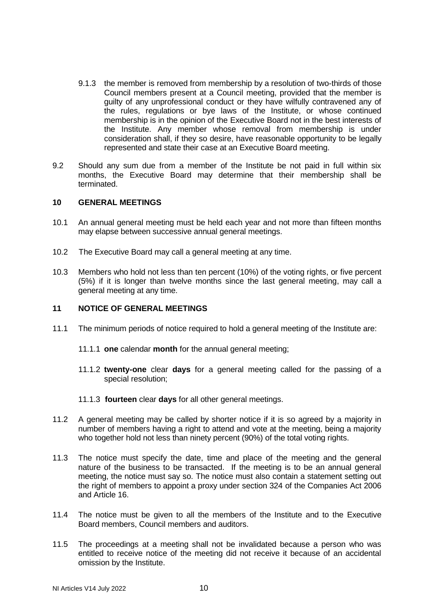- 9.1.3 the member is removed from membership by a resolution of two-thirds of those Council members present at a Council meeting, provided that the member is guilty of any unprofessional conduct or they have wilfully contravened any of the rules, regulations or bye laws of the Institute, or whose continued membership is in the opinion of the Executive Board not in the best interests of the Institute. Any member whose removal from membership is under consideration shall, if they so desire, have reasonable opportunity to be legally represented and state their case at an Executive Board meeting.
- 9.2 Should any sum due from a member of the Institute be not paid in full within six months, the Executive Board may determine that their membership shall be terminated.

#### **10 GENERAL MEETINGS**

- 10.1 An annual general meeting must be held each year and not more than fifteen months may elapse between successive annual general meetings.
- 10.2 The Executive Board may call a general meeting at any time.
- 10.3 Members who hold not less than ten percent (10%) of the voting rights, or five percent (5%) if it is longer than twelve months since the last general meeting, may call a general meeting at any time.

# **11 NOTICE OF GENERAL MEETINGS**

- 11.1 The minimum periods of notice required to hold a general meeting of the Institute are:
	- 11.1.1 **one** calendar **month** for the annual general meeting;
	- 11.1.2 **twenty-one** clear **days** for a general meeting called for the passing of a special resolution;
	- 11.1.3 **fourteen** clear **days** for all other general meetings.
- 11.2 A general meeting may be called by shorter notice if it is so agreed by a majority in number of members having a right to attend and vote at the meeting, being a majority who together hold not less than ninety percent (90%) of the total voting rights.
- 11.3 The notice must specify the date, time and place of the meeting and the general nature of the business to be transacted. If the meeting is to be an annual general meeting, the notice must say so. The notice must also contain a statement setting out the right of members to appoint a proxy under section 324 of the Companies Act 2006 and Article 16.
- 11.4 The notice must be given to all the members of the Institute and to the Executive Board members, Council members and auditors.
- 11.5 The proceedings at a meeting shall not be invalidated because a person who was entitled to receive notice of the meeting did not receive it because of an accidental omission by the Institute.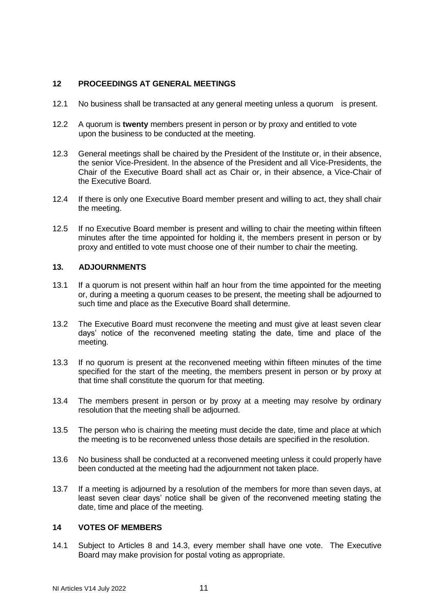# **12 PROCEEDINGS AT GENERAL MEETINGS**

- 12.1 No business shall be transacted at any general meeting unless a quorum is present.
- 12.2 A quorum is **twenty** members present in person or by proxy and entitled to vote upon the business to be conducted at the meeting.
- 12.3 General meetings shall be chaired by the President of the Institute or, in their absence, the senior Vice-President. In the absence of the President and all Vice-Presidents, the Chair of the Executive Board shall act as Chair or, in their absence, a Vice-Chair of the Executive Board.
- 12.4 If there is only one Executive Board member present and willing to act, they shall chair the meeting.
- 12.5 If no Executive Board member is present and willing to chair the meeting within fifteen minutes after the time appointed for holding it, the members present in person or by proxy and entitled to vote must choose one of their number to chair the meeting.

# **13. ADJOURNMENTS**

- 13.1 If a quorum is not present within half an hour from the time appointed for the meeting or, during a meeting a quorum ceases to be present, the meeting shall be adjourned to such time and place as the Executive Board shall determine.
- 13.2 The Executive Board must reconvene the meeting and must give at least seven clear days' notice of the reconvened meeting stating the date, time and place of the meeting.
- 13.3 If no quorum is present at the reconvened meeting within fifteen minutes of the time specified for the start of the meeting, the members present in person or by proxy at that time shall constitute the quorum for that meeting.
- 13.4 The members present in person or by proxy at a meeting may resolve by ordinary resolution that the meeting shall be adjourned.
- 13.5 The person who is chairing the meeting must decide the date, time and place at which the meeting is to be reconvened unless those details are specified in the resolution.
- 13.6 No business shall be conducted at a reconvened meeting unless it could properly have been conducted at the meeting had the adjournment not taken place.
- 13.7 If a meeting is adjourned by a resolution of the members for more than seven days, at least seven clear days' notice shall be given of the reconvened meeting stating the date, time and place of the meeting.

# **14 VOTES OF MEMBERS**

14.1 Subject to Articles 8 and 14.3, every member shall have one vote. The Executive Board may make provision for postal voting as appropriate.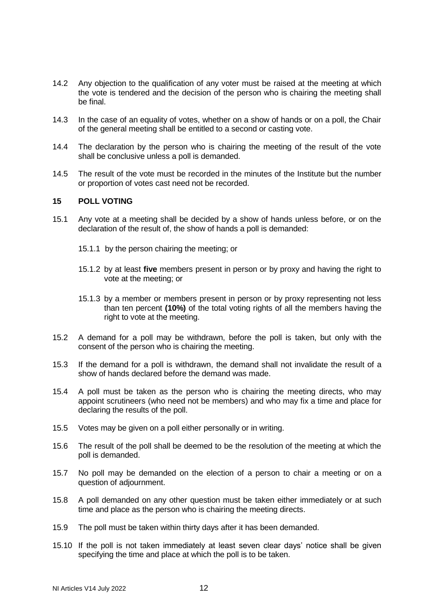- 14.2 Any objection to the qualification of any voter must be raised at the meeting at which the vote is tendered and the decision of the person who is chairing the meeting shall be final.
- 14.3 In the case of an equality of votes, whether on a show of hands or on a poll, the Chair of the general meeting shall be entitled to a second or casting vote.
- 14.4 The declaration by the person who is chairing the meeting of the result of the vote shall be conclusive unless a poll is demanded.
- 14.5 The result of the vote must be recorded in the minutes of the Institute but the number or proportion of votes cast need not be recorded.

# **15 POLL VOTING**

- 15.1 Any vote at a meeting shall be decided by a show of hands unless before, or on the declaration of the result of, the show of hands a poll is demanded:
	- 15.1.1 by the person chairing the meeting; or
	- 15.1.2 by at least **five** members present in person or by proxy and having the right to vote at the meeting; or
	- 15.1.3 by a member or members present in person or by proxy representing not less than ten percent **(10%)** of the total voting rights of all the members having the right to vote at the meeting.
- 15.2 A demand for a poll may be withdrawn, before the poll is taken, but only with the consent of the person who is chairing the meeting.
- 15.3 If the demand for a poll is withdrawn, the demand shall not invalidate the result of a show of hands declared before the demand was made.
- 15.4 A poll must be taken as the person who is chairing the meeting directs, who may appoint scrutineers (who need not be members) and who may fix a time and place for declaring the results of the poll.
- 15.5 Votes may be given on a poll either personally or in writing.
- 15.6 The result of the poll shall be deemed to be the resolution of the meeting at which the poll is demanded.
- 15.7 No poll may be demanded on the election of a person to chair a meeting or on a question of adjournment.
- 15.8 A poll demanded on any other question must be taken either immediately or at such time and place as the person who is chairing the meeting directs.
- 15.9 The poll must be taken within thirty days after it has been demanded.
- 15.10 If the poll is not taken immediately at least seven clear days' notice shall be given specifying the time and place at which the poll is to be taken.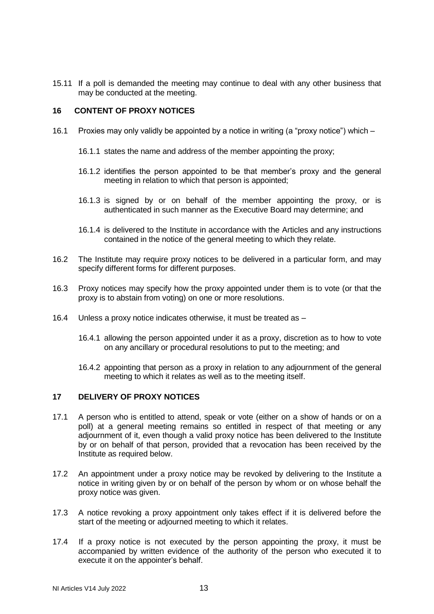15.11 If a poll is demanded the meeting may continue to deal with any other business that may be conducted at the meeting.

# **16 CONTENT OF PROXY NOTICES**

- 16.1 Proxies may only validly be appointed by a notice in writing (a "proxy notice") which
	- 16.1.1 states the name and address of the member appointing the proxy;
	- 16.1.2 identifies the person appointed to be that member's proxy and the general meeting in relation to which that person is appointed;
	- 16.1.3 is signed by or on behalf of the member appointing the proxy, or is authenticated in such manner as the Executive Board may determine; and
	- 16.1.4 is delivered to the Institute in accordance with the Articles and any instructions contained in the notice of the general meeting to which they relate.
- 16.2 The Institute may require proxy notices to be delivered in a particular form, and may specify different forms for different purposes.
- 16.3 Proxy notices may specify how the proxy appointed under them is to vote (or that the proxy is to abstain from voting) on one or more resolutions.
- 16.4 Unless a proxy notice indicates otherwise, it must be treated as
	- 16.4.1 allowing the person appointed under it as a proxy, discretion as to how to vote on any ancillary or procedural resolutions to put to the meeting; and
	- 16.4.2 appointing that person as a proxy in relation to any adjournment of the general meeting to which it relates as well as to the meeting itself.

# **17 DELIVERY OF PROXY NOTICES**

- 17.1 A person who is entitled to attend, speak or vote (either on a show of hands or on a poll) at a general meeting remains so entitled in respect of that meeting or any adjournment of it, even though a valid proxy notice has been delivered to the Institute by or on behalf of that person, provided that a revocation has been received by the Institute as required below.
- 17.2 An appointment under a proxy notice may be revoked by delivering to the Institute a notice in writing given by or on behalf of the person by whom or on whose behalf the proxy notice was given.
- 17.3 A notice revoking a proxy appointment only takes effect if it is delivered before the start of the meeting or adjourned meeting to which it relates.
- 17.4 If a proxy notice is not executed by the person appointing the proxy, it must be accompanied by written evidence of the authority of the person who executed it to execute it on the appointer's behalf.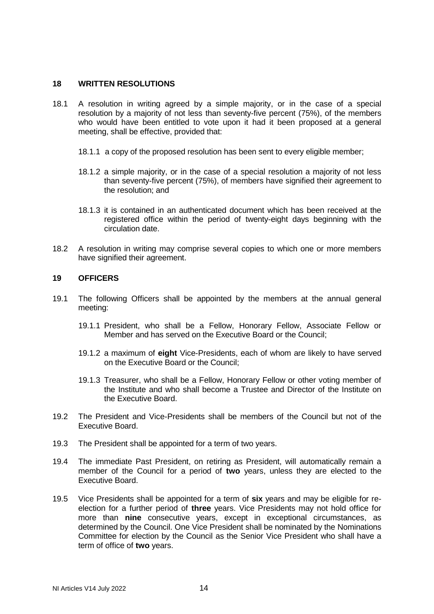# **18 WRITTEN RESOLUTIONS**

- 18.1 A resolution in writing agreed by a simple majority, or in the case of a special resolution by a majority of not less than seventy-five percent (75%), of the members who would have been entitled to vote upon it had it been proposed at a general meeting, shall be effective, provided that:
	- 18.1.1 a copy of the proposed resolution has been sent to every eligible member;
	- 18.1.2 a simple majority, or in the case of a special resolution a majority of not less than seventy-five percent (75%), of members have signified their agreement to the resolution; and
	- 18.1.3 it is contained in an authenticated document which has been received at the registered office within the period of twenty-eight days beginning with the circulation date.
- 18.2 A resolution in writing may comprise several copies to which one or more members have signified their agreement.

# **19 OFFICERS**

- 19.1 The following Officers shall be appointed by the members at the annual general meeting:
	- 19.1.1 President, who shall be a Fellow, Honorary Fellow, Associate Fellow or Member and has served on the Executive Board or the Council;
	- 19.1.2 a maximum of **eight** Vice-Presidents, each of whom are likely to have served on the Executive Board or the Council;
	- 19.1.3 Treasurer, who shall be a Fellow, Honorary Fellow or other voting member of the Institute and who shall become a Trustee and Director of the Institute on the Executive Board.
- 19.2 The President and Vice-Presidents shall be members of the Council but not of the Executive Board.
- 19.3 The President shall be appointed for a term of two years.
- 19.4 The immediate Past President, on retiring as President, will automatically remain a member of the Council for a period of **two** years, unless they are elected to the Executive Board.
- 19.5 Vice Presidents shall be appointed for a term of **six** years and may be eligible for reelection for a further period of **three** years. Vice Presidents may not hold office for more than **nine** consecutive years, except in exceptional circumstances, as determined by the Council. One Vice President shall be nominated by the Nominations Committee for election by the Council as the Senior Vice President who shall have a term of office of **two** years.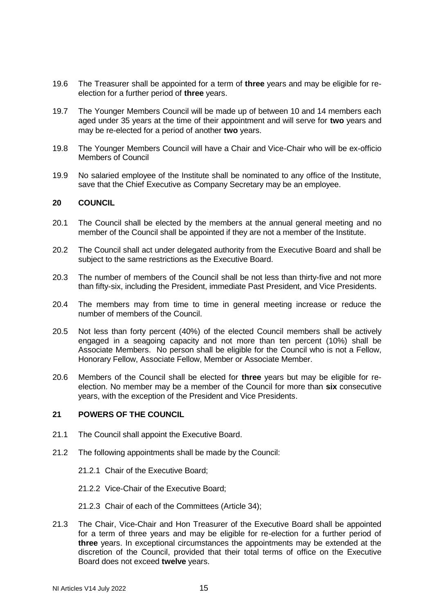- 19.6 The Treasurer shall be appointed for a term of **three** years and may be eligible for reelection for a further period of **three** years.
- 19.7 The Younger Members Council will be made up of between 10 and 14 members each aged under 35 years at the time of their appointment and will serve for **two** years and may be re-elected for a period of another **two** years.
- 19.8 The Younger Members Council will have a Chair and Vice-Chair who will be ex-officio Members of Council
- 19.9 No salaried employee of the Institute shall be nominated to any office of the Institute, save that the Chief Executive as Company Secretary may be an employee.

#### **20 COUNCIL**

- 20.1 The Council shall be elected by the members at the annual general meeting and no member of the Council shall be appointed if they are not a member of the Institute.
- 20.2 The Council shall act under delegated authority from the Executive Board and shall be subject to the same restrictions as the Executive Board.
- 20.3 The number of members of the Council shall be not less than thirty-five and not more than fifty-six, including the President, immediate Past President, and Vice Presidents.
- 20.4 The members may from time to time in general meeting increase or reduce the number of members of the Council.
- 20.5 Not less than forty percent (40%) of the elected Council members shall be actively engaged in a seagoing capacity and not more than ten percent (10%) shall be Associate Members. No person shall be eligible for the Council who is not a Fellow, Honorary Fellow, Associate Fellow, Member or Associate Member.
- 20.6 Members of the Council shall be elected for **three** years but may be eligible for reelection. No member may be a member of the Council for more than **six** consecutive years, with the exception of the President and Vice Presidents.

# **21 POWERS OF THE COUNCIL**

- 21.1 The Council shall appoint the Executive Board.
- 21.2 The following appointments shall be made by the Council:
	- 21.2.1 Chair of the Executive Board;
	- 21.2.2 Vice-Chair of the Executive Board;
	- 21.2.3 Chair of each of the Committees (Article 34);
- 21.3 The Chair, Vice-Chair and Hon Treasurer of the Executive Board shall be appointed for a term of three years and may be eligible for re-election for a further period of **three** years. In exceptional circumstances the appointments may be extended at the discretion of the Council, provided that their total terms of office on the Executive Board does not exceed **twelve** years.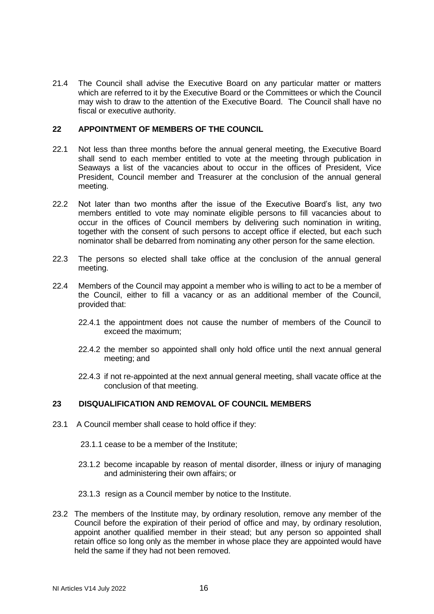21.4 The Council shall advise the Executive Board on any particular matter or matters which are referred to it by the Executive Board or the Committees or which the Council may wish to draw to the attention of the Executive Board. The Council shall have no fiscal or executive authority.

# **22 APPOINTMENT OF MEMBERS OF THE COUNCIL**

- 22.1 Not less than three months before the annual general meeting, the Executive Board shall send to each member entitled to vote at the meeting through publication in Seaways a list of the vacancies about to occur in the offices of President, Vice President, Council member and Treasurer at the conclusion of the annual general meeting.
- 22.2 Not later than two months after the issue of the Executive Board's list, any two members entitled to vote may nominate eligible persons to fill vacancies about to occur in the offices of Council members by delivering such nomination in writing, together with the consent of such persons to accept office if elected, but each such nominator shall be debarred from nominating any other person for the same election.
- 22.3 The persons so elected shall take office at the conclusion of the annual general meeting.
- 22.4 Members of the Council may appoint a member who is willing to act to be a member of the Council, either to fill a vacancy or as an additional member of the Council, provided that:
	- 22.4.1 the appointment does not cause the number of members of the Council to exceed the maximum;
	- 22.4.2 the member so appointed shall only hold office until the next annual general meeting; and
	- 22.4.3 if not re-appointed at the next annual general meeting, shall vacate office at the conclusion of that meeting.

# **23 DISQUALIFICATION AND REMOVAL OF COUNCIL MEMBERS**

- 23.1 A Council member shall cease to hold office if they:
	- 23.1.1 cease to be a member of the Institute;
	- 23.1.2 become incapable by reason of mental disorder, illness or injury of managing and administering their own affairs; or
	- 23.1.3 resign as a Council member by notice to the Institute.
- 23.2 The members of the Institute may, by ordinary resolution, remove any member of the Council before the expiration of their period of office and may, by ordinary resolution, appoint another qualified member in their stead; but any person so appointed shall retain office so long only as the member in whose place they are appointed would have held the same if they had not been removed.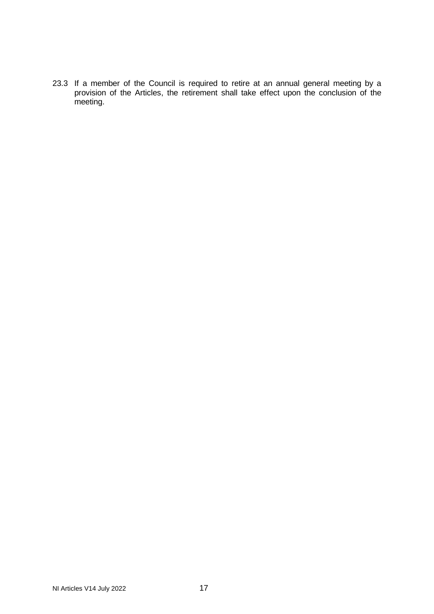23.3 If a member of the Council is required to retire at an annual general meeting by a provision of the Articles, the retirement shall take effect upon the conclusion of the meeting.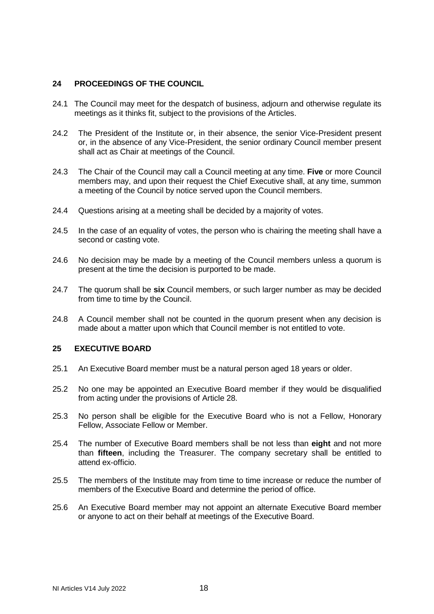# **24 PROCEEDINGS OF THE COUNCIL**

- 24.1 The Council may meet for the despatch of business, adjourn and otherwise regulate its meetings as it thinks fit, subject to the provisions of the Articles.
- 24.2 The President of the Institute or, in their absence, the senior Vice-President present or, in the absence of any Vice-President, the senior ordinary Council member present shall act as Chair at meetings of the Council.
- 24.3 The Chair of the Council may call a Council meeting at any time. **Five** or more Council members may, and upon their request the Chief Executive shall, at any time, summon a meeting of the Council by notice served upon the Council members.
- 24.4 Questions arising at a meeting shall be decided by a majority of votes.
- 24.5 In the case of an equality of votes, the person who is chairing the meeting shall have a second or casting vote.
- 24.6 No decision may be made by a meeting of the Council members unless a quorum is present at the time the decision is purported to be made.
- 24.7 The quorum shall be **six** Council members, or such larger number as may be decided from time to time by the Council.
- 24.8 A Council member shall not be counted in the quorum present when any decision is made about a matter upon which that Council member is not entitled to vote.

# **25 EXECUTIVE BOARD**

- 25.1 An Executive Board member must be a natural person aged 18 years or older.
- 25.2 No one may be appointed an Executive Board member if they would be disqualified from acting under the provisions of Article 28.
- 25.3 No person shall be eligible for the Executive Board who is not a Fellow, Honorary Fellow, Associate Fellow or Member.
- 25.4 The number of Executive Board members shall be not less than **eight** and not more than **fifteen**, including the Treasurer. The company secretary shall be entitled to attend ex-officio.
- 25.5 The members of the Institute may from time to time increase or reduce the number of members of the Executive Board and determine the period of office.
- 25.6 An Executive Board member may not appoint an alternate Executive Board member or anyone to act on their behalf at meetings of the Executive Board.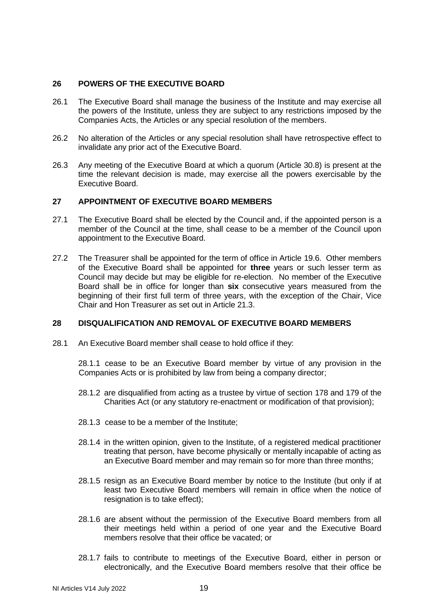# **26 POWERS OF THE EXECUTIVE BOARD**

- 26.1 The Executive Board shall manage the business of the Institute and may exercise all the powers of the Institute, unless they are subject to any restrictions imposed by the Companies Acts, the Articles or any special resolution of the members.
- 26.2 No alteration of the Articles or any special resolution shall have retrospective effect to invalidate any prior act of the Executive Board.
- 26.3 Any meeting of the Executive Board at which a quorum (Article 30.8) is present at the time the relevant decision is made, may exercise all the powers exercisable by the Executive Board.

# **27 APPOINTMENT OF EXECUTIVE BOARD MEMBERS**

- 27.1 The Executive Board shall be elected by the Council and, if the appointed person is a member of the Council at the time, shall cease to be a member of the Council upon appointment to the Executive Board.
- 27.2 The Treasurer shall be appointed for the term of office in Article 19.6. Other members of the Executive Board shall be appointed for **three** years or such lesser term as Council may decide but may be eligible for re-election. No member of the Executive Board shall be in office for longer than **six** consecutive years measured from the beginning of their first full term of three years, with the exception of the Chair, Vice Chair and Hon Treasurer as set out in Article 21.3.

### **28 DISQUALIFICATION AND REMOVAL OF EXECUTIVE BOARD MEMBERS**

28.1 An Executive Board member shall cease to hold office if they:

28.1.1 cease to be an Executive Board member by virtue of any provision in the Companies Acts or is prohibited by law from being a company director;

- 28.1.2 are disqualified from acting as a trustee by virtue of section 178 and 179 of the Charities Act (or any statutory re-enactment or modification of that provision);
- 28.1.3 cease to be a member of the Institute;
- 28.1.4 in the written opinion, given to the Institute, of a registered medical practitioner treating that person, have become physically or mentally incapable of acting as an Executive Board member and may remain so for more than three months;
- 28.1.5 resign as an Executive Board member by notice to the Institute (but only if at least two Executive Board members will remain in office when the notice of resignation is to take effect):
- 28.1.6 are absent without the permission of the Executive Board members from all their meetings held within a period of one year and the Executive Board members resolve that their office be vacated; or
- 28.1.7 fails to contribute to meetings of the Executive Board, either in person or electronically, and the Executive Board members resolve that their office be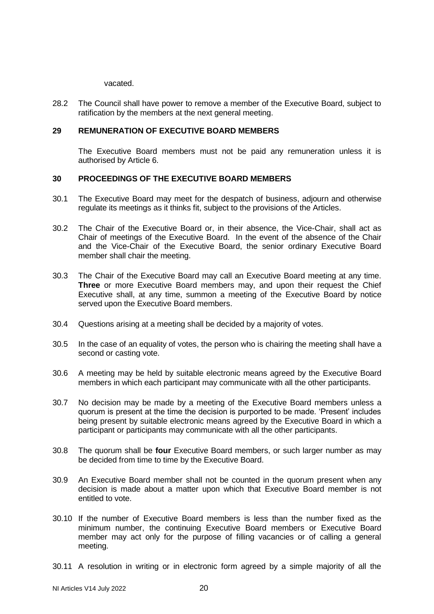vacated.

28.2 The Council shall have power to remove a member of the Executive Board, subject to ratification by the members at the next general meeting.

### **29 REMUNERATION OF EXECUTIVE BOARD MEMBERS**

The Executive Board members must not be paid any remuneration unless it is authorised by Article 6.

# **30 PROCEEDINGS OF THE EXECUTIVE BOARD MEMBERS**

- 30.1 The Executive Board may meet for the despatch of business, adjourn and otherwise regulate its meetings as it thinks fit, subject to the provisions of the Articles.
- 30.2 The Chair of the Executive Board or, in their absence, the Vice-Chair, shall act as Chair of meetings of the Executive Board. In the event of the absence of the Chair and the Vice-Chair of the Executive Board, the senior ordinary Executive Board member shall chair the meeting.
- 30.3 The Chair of the Executive Board may call an Executive Board meeting at any time. **Three** or more Executive Board members may, and upon their request the Chief Executive shall, at any time, summon a meeting of the Executive Board by notice served upon the Executive Board members.
- 30.4 Questions arising at a meeting shall be decided by a majority of votes.
- 30.5 In the case of an equality of votes, the person who is chairing the meeting shall have a second or casting vote.
- 30.6 A meeting may be held by suitable electronic means agreed by the Executive Board members in which each participant may communicate with all the other participants.
- 30.7 No decision may be made by a meeting of the Executive Board members unless a quorum is present at the time the decision is purported to be made. 'Present' includes being present by suitable electronic means agreed by the Executive Board in which a participant or participants may communicate with all the other participants.
- 30.8 The quorum shall be **four** Executive Board members, or such larger number as may be decided from time to time by the Executive Board.
- 30.9 An Executive Board member shall not be counted in the quorum present when any decision is made about a matter upon which that Executive Board member is not entitled to vote.
- 30.10 If the number of Executive Board members is less than the number fixed as the minimum number, the continuing Executive Board members or Executive Board member may act only for the purpose of filling vacancies or of calling a general meeting.
- 30.11 A resolution in writing or in electronic form agreed by a simple majority of all the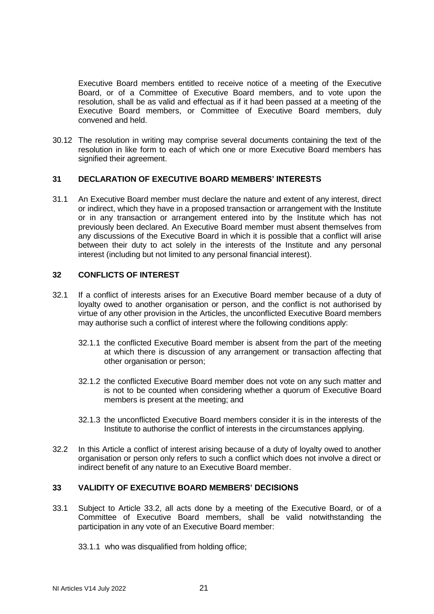Executive Board members entitled to receive notice of a meeting of the Executive Board, or of a Committee of Executive Board members, and to vote upon the resolution, shall be as valid and effectual as if it had been passed at a meeting of the Executive Board members, or Committee of Executive Board members, duly convened and held.

30.12 The resolution in writing may comprise several documents containing the text of the resolution in like form to each of which one or more Executive Board members has signified their agreement.

# **31 DECLARATION OF EXECUTIVE BOARD MEMBERS' INTERESTS**

31.1 An Executive Board member must declare the nature and extent of any interest, direct or indirect, which they have in a proposed transaction or arrangement with the Institute or in any transaction or arrangement entered into by the Institute which has not previously been declared. An Executive Board member must absent themselves from any discussions of the Executive Board in which it is possible that a conflict will arise between their duty to act solely in the interests of the Institute and any personal interest (including but not limited to any personal financial interest).

# **32 CONFLICTS OF INTEREST**

- 32.1 If a conflict of interests arises for an Executive Board member because of a duty of loyalty owed to another organisation or person, and the conflict is not authorised by virtue of any other provision in the Articles, the unconflicted Executive Board members may authorise such a conflict of interest where the following conditions apply:
	- 32.1.1 the conflicted Executive Board member is absent from the part of the meeting at which there is discussion of any arrangement or transaction affecting that other organisation or person;
	- 32.1.2 the conflicted Executive Board member does not vote on any such matter and is not to be counted when considering whether a quorum of Executive Board members is present at the meeting; and
	- 32.1.3 the unconflicted Executive Board members consider it is in the interests of the Institute to authorise the conflict of interests in the circumstances applying.
- 32.2 In this Article a conflict of interest arising because of a duty of loyalty owed to another organisation or person only refers to such a conflict which does not involve a direct or indirect benefit of any nature to an Executive Board member.

#### **33 VALIDITY OF EXECUTIVE BOARD MEMBERS' DECISIONS**

- 33.1 Subject to Article 33.2, all acts done by a meeting of the Executive Board, or of a Committee of Executive Board members, shall be valid notwithstanding the participation in any vote of an Executive Board member:
	- 33.1.1 who was disqualified from holding office;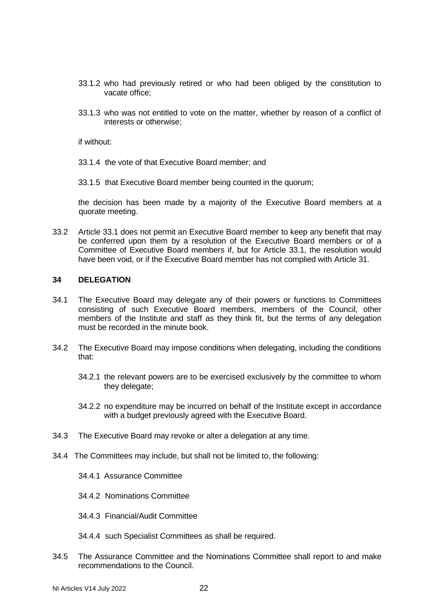- 33.1.2 who had previously retired or who had been obliged by the constitution to vacate office;
- 33.1.3 who was not entitled to vote on the matter, whether by reason of a conflict of interests or otherwise;

if without:

- 33.1.4 the vote of that Executive Board member; and
- 33.1.5 that Executive Board member being counted in the quorum;

the decision has been made by a majority of the Executive Board members at a quorate meeting.

33.2 Article 33.1 does not permit an Executive Board member to keep any benefit that may be conferred upon them by a resolution of the Executive Board members or of a Committee of Executive Board members if, but for Article 33.1, the resolution would have been void, or if the Executive Board member has not complied with Article 31.

#### **34 DELEGATION**

- 34.1 The Executive Board may delegate any of their powers or functions to Committees consisting of such Executive Board members, members of the Council, other members of the Institute and staff as they think fit, but the terms of any delegation must be recorded in the minute book.
- 34.2 The Executive Board may impose conditions when delegating, including the conditions that:
	- 34.2.1 the relevant powers are to be exercised exclusively by the committee to whom they delegate;
	- 34.2.2 no expenditure may be incurred on behalf of the Institute except in accordance with a budget previously agreed with the Executive Board.
- 34.3 The Executive Board may revoke or alter a delegation at any time.
- 34.4 The Committees may include, but shall not be limited to, the following:
	- 34.4.1 Assurance Committee
	- 34.4.2 Nominations Committee
	- 34.4.3 Financial/Audit Committee
	- 34.4.4 such Specialist Committees as shall be required.
- 34.5 The Assurance Committee and the Nominations Committee shall report to and make recommendations to the Council.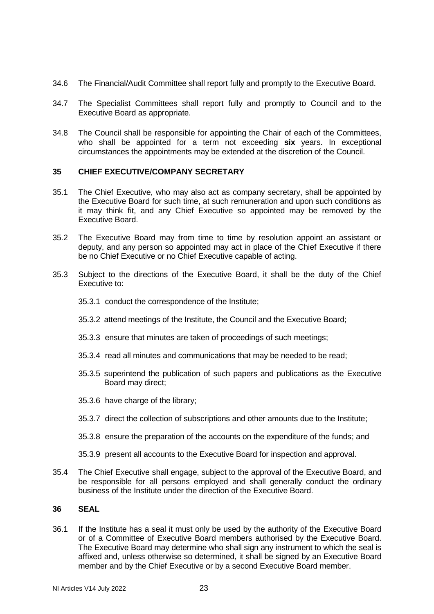- 34.6 The Financial/Audit Committee shall report fully and promptly to the Executive Board.
- 34.7 The Specialist Committees shall report fully and promptly to Council and to the Executive Board as appropriate.
- 34.8 The Council shall be responsible for appointing the Chair of each of the Committees, who shall be appointed for a term not exceeding **six** years. In exceptional circumstances the appointments may be extended at the discretion of the Council.

# **35 CHIEF EXECUTIVE/COMPANY SECRETARY**

- 35.1 The Chief Executive, who may also act as company secretary, shall be appointed by the Executive Board for such time, at such remuneration and upon such conditions as it may think fit, and any Chief Executive so appointed may be removed by the Executive Board.
- 35.2 The Executive Board may from time to time by resolution appoint an assistant or deputy, and any person so appointed may act in place of the Chief Executive if there be no Chief Executive or no Chief Executive capable of acting.
- 35.3 Subject to the directions of the Executive Board, it shall be the duty of the Chief Executive to:
	- 35.3.1 conduct the correspondence of the Institute;
	- 35.3.2 attend meetings of the Institute, the Council and the Executive Board;
	- 35.3.3 ensure that minutes are taken of proceedings of such meetings;
	- 35.3.4 read all minutes and communications that may be needed to be read;
	- 35.3.5 superintend the publication of such papers and publications as the Executive Board may direct;
	- 35.3.6 have charge of the library;
	- 35.3.7 direct the collection of subscriptions and other amounts due to the Institute;
	- 35.3.8 ensure the preparation of the accounts on the expenditure of the funds; and
	- 35.3.9 present all accounts to the Executive Board for inspection and approval.
- 35.4 The Chief Executive shall engage, subject to the approval of the Executive Board, and be responsible for all persons employed and shall generally conduct the ordinary business of the Institute under the direction of the Executive Board.

# **36 SEAL**

36.1 If the Institute has a seal it must only be used by the authority of the Executive Board or of a Committee of Executive Board members authorised by the Executive Board. The Executive Board may determine who shall sign any instrument to which the seal is affixed and, unless otherwise so determined, it shall be signed by an Executive Board member and by the Chief Executive or by a second Executive Board member.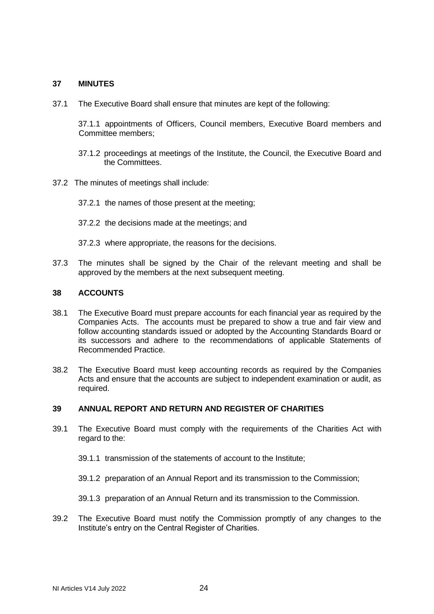# **37 MINUTES**

37.1 The Executive Board shall ensure that minutes are kept of the following:

37.1.1 appointments of Officers, Council members, Executive Board members and Committee members;

- 37.1.2 proceedings at meetings of the Institute, the Council, the Executive Board and the Committees.
- 37.2 The minutes of meetings shall include:
	- 37.2.1 the names of those present at the meeting;
	- 37.2.2 the decisions made at the meetings; and
	- 37.2.3 where appropriate, the reasons for the decisions.
- 37.3 The minutes shall be signed by the Chair of the relevant meeting and shall be approved by the members at the next subsequent meeting.

#### **38 ACCOUNTS**

- 38.1 The Executive Board must prepare accounts for each financial year as required by the Companies Acts. The accounts must be prepared to show a true and fair view and follow accounting standards issued or adopted by the Accounting Standards Board or its successors and adhere to the recommendations of applicable Statements of Recommended Practice.
- 38.2 The Executive Board must keep accounting records as required by the Companies Acts and ensure that the accounts are subject to independent examination or audit, as required.

#### **39 ANNUAL REPORT AND RETURN AND REGISTER OF CHARITIES**

- 39.1 The Executive Board must comply with the requirements of the Charities Act with regard to the:
	- 39.1.1 transmission of the statements of account to the Institute;
	- 39.1.2 preparation of an Annual Report and its transmission to the Commission;
	- 39.1.3 preparation of an Annual Return and its transmission to the Commission.
- 39.2 The Executive Board must notify the Commission promptly of any changes to the Institute's entry on the Central Register of Charities.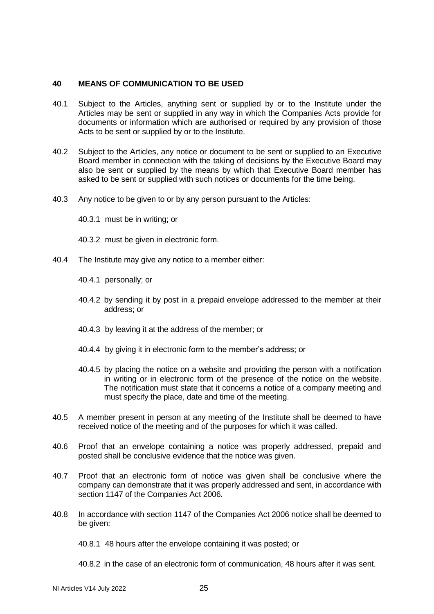# **40 MEANS OF COMMUNICATION TO BE USED**

- 40.1 Subject to the Articles, anything sent or supplied by or to the Institute under the Articles may be sent or supplied in any way in which the Companies Acts provide for documents or information which are authorised or required by any provision of those Acts to be sent or supplied by or to the Institute.
- 40.2 Subject to the Articles, any notice or document to be sent or supplied to an Executive Board member in connection with the taking of decisions by the Executive Board may also be sent or supplied by the means by which that Executive Board member has asked to be sent or supplied with such notices or documents for the time being.
- 40.3 Any notice to be given to or by any person pursuant to the Articles:
	- 40.3.1 must be in writing; or
	- 40.3.2 must be given in electronic form.
- 40.4 The Institute may give any notice to a member either:
	- 40.4.1 personally; or
	- 40.4.2 by sending it by post in a prepaid envelope addressed to the member at their address; or
	- 40.4.3 by leaving it at the address of the member; or
	- 40.4.4 by giving it in electronic form to the member's address; or
	- 40.4.5 by placing the notice on a website and providing the person with a notification in writing or in electronic form of the presence of the notice on the website. The notification must state that it concerns a notice of a company meeting and must specify the place, date and time of the meeting.
- 40.5 A member present in person at any meeting of the Institute shall be deemed to have received notice of the meeting and of the purposes for which it was called.
- 40.6 Proof that an envelope containing a notice was properly addressed, prepaid and posted shall be conclusive evidence that the notice was given.
- 40.7 Proof that an electronic form of notice was given shall be conclusive where the company can demonstrate that it was properly addressed and sent, in accordance with section 1147 of the Companies Act 2006.
- 40.8 In accordance with section 1147 of the Companies Act 2006 notice shall be deemed to be given:
	- 40.8.1 48 hours after the envelope containing it was posted; or

40.8.2 in the case of an electronic form of communication, 48 hours after it was sent.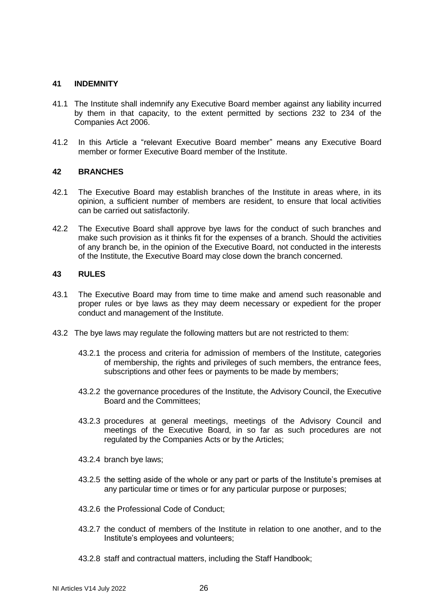### **41 INDEMNITY**

- 41.1 The Institute shall indemnify any Executive Board member against any liability incurred by them in that capacity, to the extent permitted by sections 232 to 234 of the Companies Act 2006.
- 41.2 In this Article a "relevant Executive Board member" means any Executive Board member or former Executive Board member of the Institute.

# **42 BRANCHES**

- 42.1 The Executive Board may establish branches of the Institute in areas where, in its opinion, a sufficient number of members are resident, to ensure that local activities can be carried out satisfactorily.
- 42.2 The Executive Board shall approve bye laws for the conduct of such branches and make such provision as it thinks fit for the expenses of a branch. Should the activities of any branch be, in the opinion of the Executive Board, not conducted in the interests of the Institute, the Executive Board may close down the branch concerned.

# **43 RULES**

- 43.1 The Executive Board may from time to time make and amend such reasonable and proper rules or bye laws as they may deem necessary or expedient for the proper conduct and management of the Institute.
- 43.2 The bye laws may regulate the following matters but are not restricted to them:
	- 43.2.1 the process and criteria for admission of members of the Institute, categories of membership, the rights and privileges of such members, the entrance fees, subscriptions and other fees or payments to be made by members;
	- 43.2.2 the governance procedures of the Institute, the Advisory Council, the Executive Board and the Committees;
	- 43.2.3 procedures at general meetings, meetings of the Advisory Council and meetings of the Executive Board, in so far as such procedures are not regulated by the Companies Acts or by the Articles;
	- 43.2.4 branch bye laws;
	- 43.2.5 the setting aside of the whole or any part or parts of the Institute's premises at any particular time or times or for any particular purpose or purposes;
	- 43.2.6 the Professional Code of Conduct;
	- 43.2.7 the conduct of members of the Institute in relation to one another, and to the Institute's employees and volunteers;
	- 43.2.8 staff and contractual matters, including the Staff Handbook;